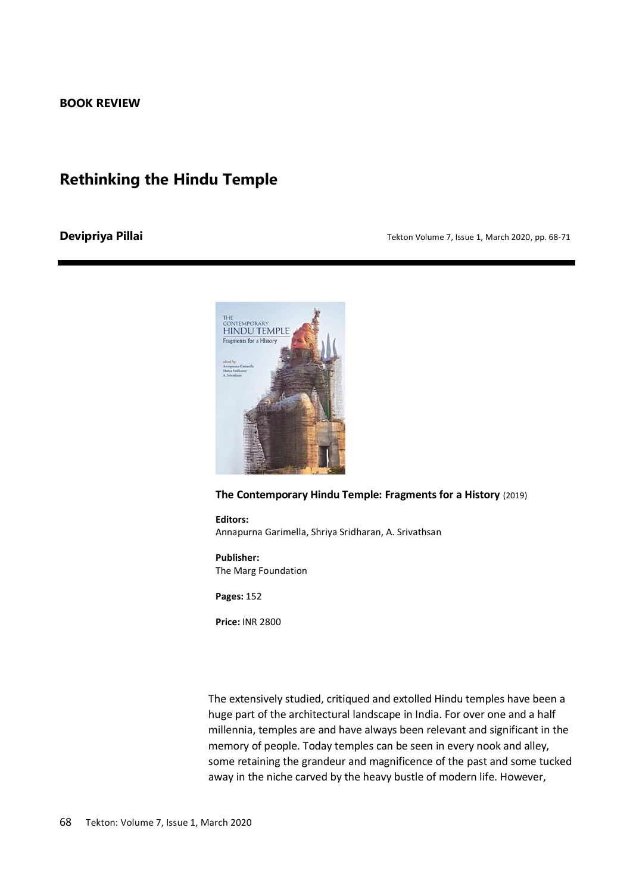## **Rethinking the Hindu Temple**

## **Devipriya Pillai Tekton Volume 7, Issue 1, March 2020, pp. 68-71 Devices**



## **The Contemporary Hindu Temple: Fragments for a History** (2019)

**Editors:**  Annapurna Garimella, Shriya Sridharan, A. Srivathsan

**Publisher:**  The Marg Foundation

**Pages:** 152

**Price:** INR 2800

The extensively studied, critiqued and extolled Hindu temples have been a huge part of the architectural landscape in India. For over one and a half millennia, temples are and have always been relevant and significant in the memory of people. Today temples can be seen in every nook and alley, some retaining the grandeur and magnificence of the past and some tucked away in the niche carved by the heavy bustle of modern life. However,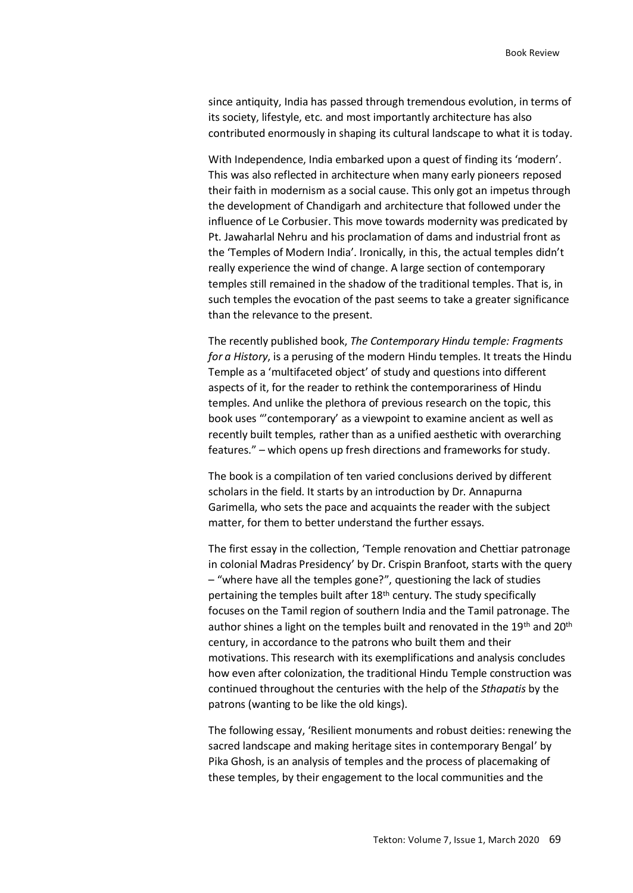since antiquity, India has passed through tremendous evolution, in terms of its society, lifestyle, etc. and most importantly architecture has also contributed enormously in shaping its cultural landscape to what it is today.

With Independence, India embarked upon a quest of finding its 'modern'. This was also reflected in architecture when many early pioneers reposed their faith in modernism as a social cause. This only got an impetus through the development of Chandigarh and architecture that followed under the influence of Le Corbusier. This move towards modernity was predicated by Pt. Jawaharlal Nehru and his proclamation of dams and industrial front as the 'Temples of Modern India'. Ironically, in this, the actual temples didn't really experience the wind of change. A large section of contemporary temples still remained in the shadow of the traditional temples. That is, in such temples the evocation of the past seems to take a greater significance than the relevance to the present.

The recently published book, *The Contemporary Hindu temple: Fragments for a History*, is a perusing of the modern Hindu temples. It treats the Hindu Temple as a 'multifaceted object' of study and questions into different aspects of it, for the reader to rethink the contemporariness of Hindu temples. And unlike the plethora of previous research on the topic, this book uses "'contemporary' as a viewpoint to examine ancient as well as recently built temples, rather than as a unified aesthetic with overarching features." – which opens up fresh directions and frameworks for study.

The book is a compilation of ten varied conclusions derived by different scholars in the field. It starts by an introduction by Dr. Annapurna Garimella, who sets the pace and acquaints the reader with the subject matter, for them to better understand the further essays.

The first essay in the collection, 'Temple renovation and Chettiar patronage in colonial Madras Presidency' by Dr. Crispin Branfoot, starts with the query – "where have all the temples gone?", questioning the lack of studies pertaining the temples built after 18th century. The study specifically focuses on the Tamil region of southern India and the Tamil patronage. The author shines a light on the temples built and renovated in the 19<sup>th</sup> and 20<sup>th</sup> century, in accordance to the patrons who built them and their motivations. This research with its exemplifications and analysis concludes how even after colonization, the traditional Hindu Temple construction was continued throughout the centuries with the help of the *Sthapatis* by the patrons (wanting to be like the old kings).

The following essay, 'Resilient monuments and robust deities: renewing the sacred landscape and making heritage sites in contemporary Bengal' by Pika Ghosh, is an analysis of temples and the process of placemaking of these temples, by their engagement to the local communities and the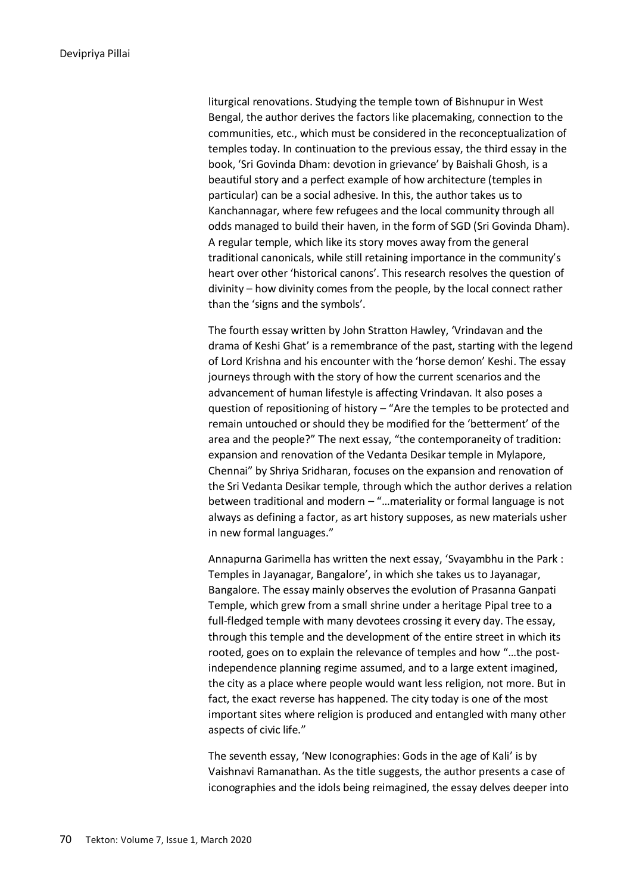liturgical renovations. Studying the temple town of Bishnupur in West Bengal, the author derives the factors like placemaking, connection to the communities, etc., which must be considered in the reconceptualization of temples today. In continuation to the previous essay, the third essay in the book, 'Sri Govinda Dham: devotion in grievance' by Baishali Ghosh, is a beautiful story and a perfect example of how architecture (temples in particular) can be a social adhesive. In this, the author takes us to Kanchannagar, where few refugees and the local community through all odds managed to build their haven, in the form of SGD (Sri Govinda Dham). A regular temple, which like its story moves away from the general traditional canonicals, while still retaining importance in the community's heart over other 'historical canons'. This research resolves the question of divinity – how divinity comes from the people, by the local connect rather than the 'signs and the symbols'.

The fourth essay written by John Stratton Hawley, 'Vrindavan and the drama of Keshi Ghat' is a remembrance of the past, starting with the legend of Lord Krishna and his encounter with the 'horse demon' Keshi. The essay journeys through with the story of how the current scenarios and the advancement of human lifestyle is affecting Vrindavan. It also poses a question of repositioning of history – "Are the temples to be protected and remain untouched or should they be modified for the 'betterment' of the area and the people?" The next essay, "the contemporaneity of tradition: expansion and renovation of the Vedanta Desikar temple in Mylapore, Chennai" by Shriya Sridharan, focuses on the expansion and renovation of the Sri Vedanta Desikar temple, through which the author derives a relation between traditional and modern – "…materiality or formal language is not always as defining a factor, as art history supposes, as new materials usher in new formal languages."

Annapurna Garimella has written the next essay, 'Svayambhu in the Park : Temples in Jayanagar, Bangalore', in which she takes us to Jayanagar, Bangalore. The essay mainly observes the evolution of Prasanna Ganpati Temple, which grew from a small shrine under a heritage Pipal tree to a full-fledged temple with many devotees crossing it every day. The essay, through this temple and the development of the entire street in which its rooted, goes on to explain the relevance of temples and how "…the postindependence planning regime assumed, and to a large extent imagined, the city as a place where people would want less religion, not more. But in fact, the exact reverse has happened. The city today is one of the most important sites where religion is produced and entangled with many other aspects of civic life."

The seventh essay, 'New Iconographies: Gods in the age of Kali' is by Vaishnavi Ramanathan. As the title suggests, the author presents a case of iconographies and the idols being reimagined, the essay delves deeper into